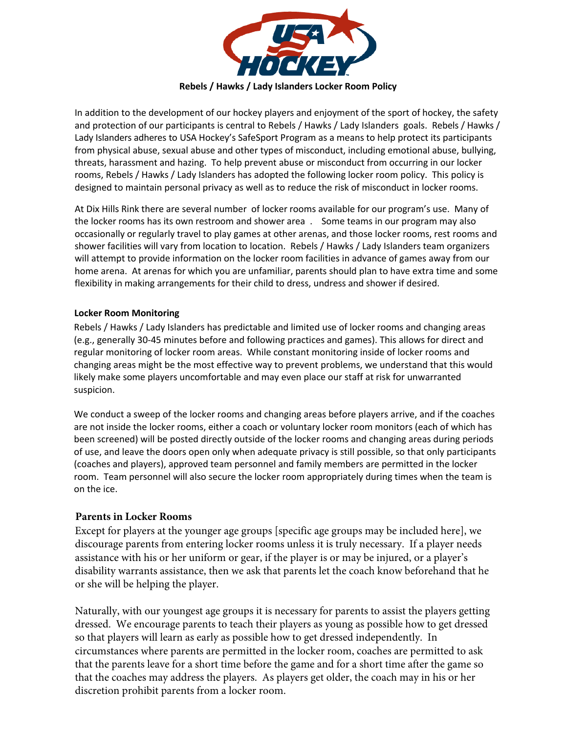

In addition to the development of our hockey players and enjoyment of the sport of hockey, the safety and protection of our participants is central to Rebels / Hawks / Lady Islanders goals. Rebels / Hawks / Lady Islanders adheres to USA Hockey's SafeSport Program as a means to help protect its participants from physical abuse, sexual abuse and other types of misconduct, including emotional abuse, bullying, threats, harassment and hazing. To help prevent abuse or misconduct from occurring in our locker rooms, Rebels / Hawks / Lady Islanders has adopted the following locker room policy. This policy is designed to maintain personal privacy as well as to reduce the risk of misconduct in locker rooms.

At Dix Hills Rink there are several number of locker rooms available for our program's use. Many of the locker rooms has its own restroom and shower area . Some teams in our program may also occasionally or regularly travel to play games at other arenas, and those locker rooms, rest rooms and shower facilities will vary from location to location. Rebels / Hawks / Lady Islanders team organizers will attempt to provide information on the locker room facilities in advance of games away from our home arena. At arenas for which you are unfamiliar, parents should plan to have extra time and some flexibility in making arrangements for their child to dress, undress and shower if desired.

## **Locker Room Monitoring**

Rebels / Hawks / Lady Islanders has predictable and limited use of locker rooms and changing areas (e.g., generally 30-45 minutes before and following practices and games). This allows for direct and regular monitoring of locker room areas. While constant monitoring inside of locker rooms and changing areas might be the most effective way to prevent problems, we understand that this would likely make some players uncomfortable and may even place our staff at risk for unwarranted suspicion.

We conduct a sweep of the locker rooms and changing areas before players arrive, and if the coaches are not inside the locker rooms, either a coach or voluntary locker room monitors (each of which has been screened) will be posted directly outside of the locker rooms and changing areas during periods of use, and leave the doors open only when adequate privacy is still possible, so that only participants (coaches and players), approved team personnel and family members are permitted in the locker room. Team personnel will also secure the locker room appropriately during times when the team is on the ice.

# **Parents in Locker Rooms**

Except for players at the younger age groups [specific age groups may be included here], we discourage parents from entering locker rooms unless it is truly necessary. If a player needs assistance with his or her uniform or gear, if the player is or may be injured, or a player's disability warrants assistance, then we ask that parents let the coach know beforehand that he or she will be helping the player.

Naturally, with our youngest age groups it is necessary for parents to assist the players getting dressed. We encourage parents to teach their players as young as possible how to get dressed so that players will learn as early as possible how to get dressed independently. In circumstances where parents are permitted in the locker room, coaches are permitted to ask that the parents leave for a short time before the game and for a short time after the game so that the coaches may address the players. As players get older, the coach may in his or her discretion prohibit parents from a locker room.